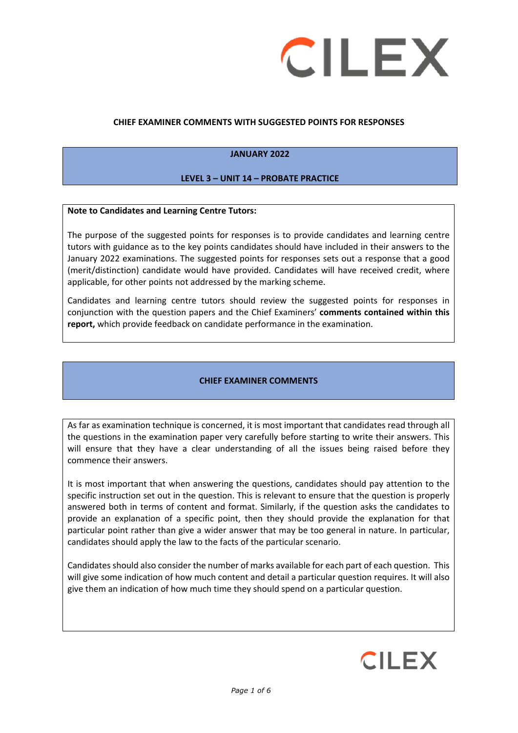

#### **CHIEF EXAMINER COMMENTS WITH SUGGESTED POINTS FOR RESPONSES**

#### **JANUARY 2022**

#### **LEVEL 3 – UNIT 14 – PROBATE PRACTICE**

#### **Note to Candidates and Learning Centre Tutors:**

The purpose of the suggested points for responses is to provide candidates and learning centre tutors with guidance as to the key points candidates should have included in their answers to the January 2022 examinations. The suggested points for responses sets out a response that a good (merit/distinction) candidate would have provided. Candidates will have received credit, where applicable, for other points not addressed by the marking scheme.

Candidates and learning centre tutors should review the suggested points for responses in conjunction with the question papers and the Chief Examiners' **comments contained within this report,** which provide feedback on candidate performance in the examination.

#### **CHIEF EXAMINER COMMENTS**

As far as examination technique is concerned, it is most important that candidates read through all the questions in the examination paper very carefully before starting to write their answers. This will ensure that they have a clear understanding of all the issues being raised before they commence their answers.

It is most important that when answering the questions, candidates should pay attention to the specific instruction set out in the question. This is relevant to ensure that the question is properly answered both in terms of content and format. Similarly, if the question asks the candidates to provide an explanation of a specific point, then they should provide the explanation for that particular point rather than give a wider answer that may be too general in nature. In particular, candidates should apply the law to the facts of the particular scenario.

Candidates should also consider the number of marks available for each part of each question. This will give some indication of how much content and detail a particular question requires. It will also give them an indication of how much time they should spend on a particular question.

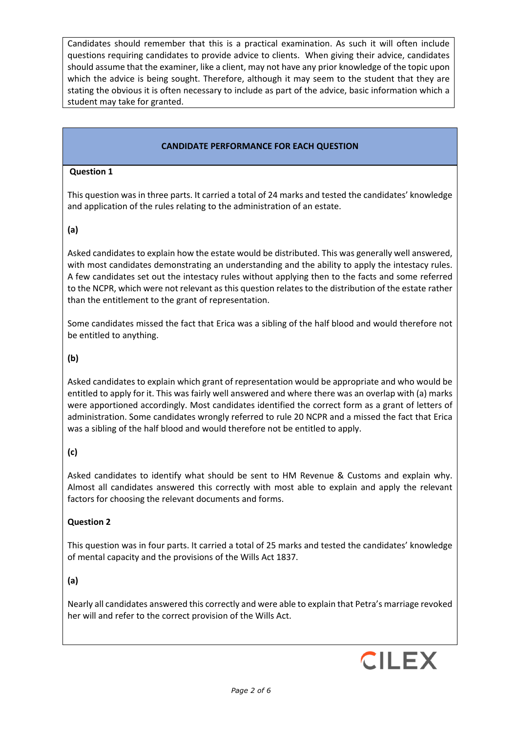Candidates should remember that this is a practical examination. As such it will often include questions requiring candidates to provide advice to clients. When giving their advice, candidates should assume that the examiner, like a client, may not have any prior knowledge of the topic upon which the advice is being sought. Therefore, although it may seem to the student that they are stating the obvious it is often necessary to include as part of the advice, basic information which a student may take for granted.

### **CANDIDATE PERFORMANCE FOR EACH QUESTION**

#### **Question 1**

This question was in three parts. It carried a total of 24 marks and tested the candidates' knowledge and application of the rules relating to the administration of an estate.

### **(a)**

Asked candidates to explain how the estate would be distributed. This was generally well answered, with most candidates demonstrating an understanding and the ability to apply the intestacy rules. A few candidates set out the intestacy rules without applying then to the facts and some referred to the NCPR, which were not relevant as this question relates to the distribution of the estate rather than the entitlement to the grant of representation.

Some candidates missed the fact that Erica was a sibling of the half blood and would therefore not be entitled to anything.

### **(b)**

Asked candidates to explain which grant of representation would be appropriate and who would be entitled to apply for it. This was fairly well answered and where there was an overlap with (a) marks were apportioned accordingly. Most candidates identified the correct form as a grant of letters of administration. Some candidates wrongly referred to rule 20 NCPR and a missed the fact that Erica was a sibling of the half blood and would therefore not be entitled to apply.

## **(c)**

Asked candidates to identify what should be sent to HM Revenue & Customs and explain why. Almost all candidates answered this correctly with most able to explain and apply the relevant factors for choosing the relevant documents and forms.

#### **Question 2**

This question was in four parts. It carried a total of 25 marks and tested the candidates' knowledge of mental capacity and the provisions of the Wills Act 1837.

## **(a)**

Nearly all candidates answered this correctly and were able to explain that Petra's marriage revoked her will and refer to the correct provision of the Wills Act.

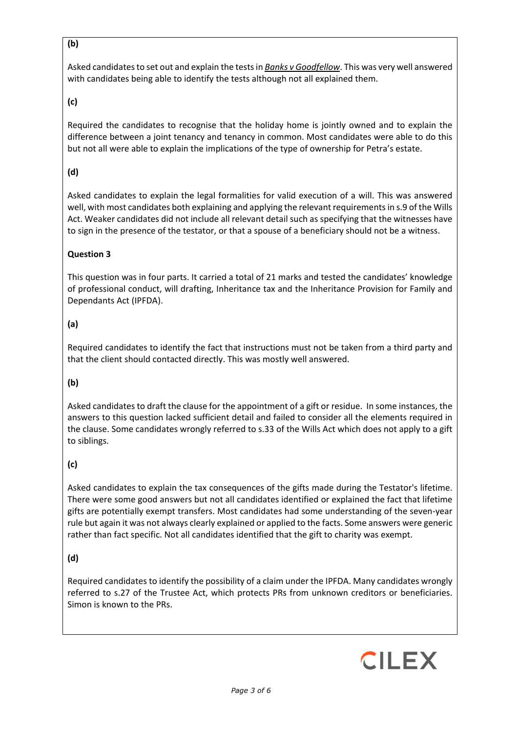## **(b)**

Asked candidates to set out and explain the tests in *Banks v Goodfellow*. This was very well answered with candidates being able to identify the tests although not all explained them.

## **(c)**

Required the candidates to recognise that the holiday home is jointly owned and to explain the difference between a joint tenancy and tenancy in common. Most candidates were able to do this but not all were able to explain the implications of the type of ownership for Petra's estate.

# **(d)**

Asked candidates to explain the legal formalities for valid execution of a will. This was answered well, with most candidates both explaining and applying the relevant requirements in s.9 of the Wills Act. Weaker candidates did not include all relevant detail such as specifying that the witnesses have to sign in the presence of the testator, or that a spouse of a beneficiary should not be a witness.

## **Question 3**

This question was in four parts. It carried a total of 21 marks and tested the candidates' knowledge of professional conduct, will drafting, Inheritance tax and the Inheritance Provision for Family and Dependants Act (IPFDA).

## **(a)**

Required candidates to identify the fact that instructions must not be taken from a third party and that the client should contacted directly. This was mostly well answered.

## **(b)**

Asked candidates to draft the clause for the appointment of a gift or residue. In some instances, the answers to this question lacked sufficient detail and failed to consider all the elements required in the clause. Some candidates wrongly referred to s.33 of the Wills Act which does not apply to a gift to siblings.

# **(c)**

Asked candidates to explain the tax consequences of the gifts made during the Testator's lifetime. There were some good answers but not all candidates identified or explained the fact that lifetime gifts are potentially exempt transfers. Most candidates had some understanding of the seven-year rule but again it was not always clearly explained or applied to the facts. Some answers were generic rather than fact specific. Not all candidates identified that the gift to charity was exempt.

# **(d)**

Required candidates to identify the possibility of a claim under the IPFDA. Many candidates wrongly referred to s.27 of the Trustee Act, which protects PRs from unknown creditors or beneficiaries. Simon is known to the PRs.

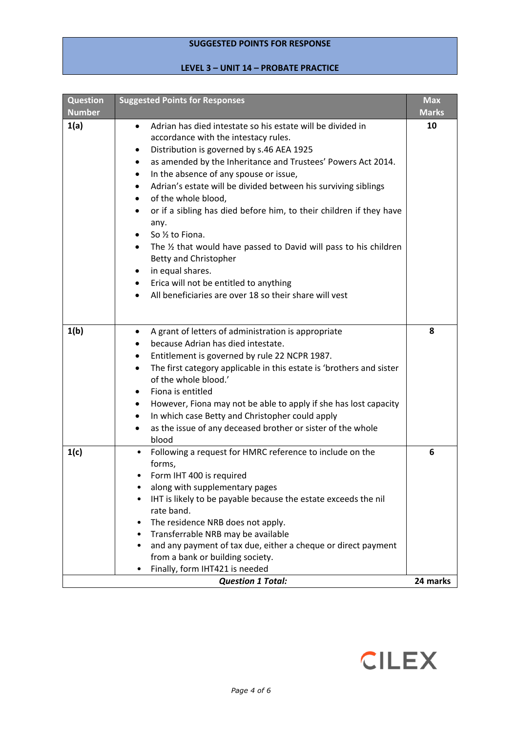# **SUGGESTED POINTS FOR RESPONSE**

# **LEVEL 3 – UNIT 14 – PROBATE PRACTICE**

| <b>Question</b> | <b>Suggested Points for Responses</b>                                                                                                                                                                                                                                                                                                                                                                                                                                                                                                                                                                                                                                                                                                                               | <b>Max</b>   |
|-----------------|---------------------------------------------------------------------------------------------------------------------------------------------------------------------------------------------------------------------------------------------------------------------------------------------------------------------------------------------------------------------------------------------------------------------------------------------------------------------------------------------------------------------------------------------------------------------------------------------------------------------------------------------------------------------------------------------------------------------------------------------------------------------|--------------|
| <b>Number</b>   |                                                                                                                                                                                                                                                                                                                                                                                                                                                                                                                                                                                                                                                                                                                                                                     | <b>Marks</b> |
| 1(a)            | Adrian has died intestate so his estate will be divided in<br>$\bullet$<br>accordance with the intestacy rules.<br>Distribution is governed by s.46 AEA 1925<br>as amended by the Inheritance and Trustees' Powers Act 2014.<br>٠<br>In the absence of any spouse or issue,<br>$\bullet$<br>Adrian's estate will be divided between his surviving siblings<br>of the whole blood,<br>$\bullet$<br>or if a sibling has died before him, to their children if they have<br>$\bullet$<br>any.<br>So 1/2 to Fiona.<br>The 1/2 that would have passed to David will pass to his children<br>$\bullet$<br>Betty and Christopher<br>in equal shares.<br>٠<br>Erica will not be entitled to anything<br>$\bullet$<br>All beneficiaries are over 18 so their share will vest | 10           |
| 1(b)            | A grant of letters of administration is appropriate<br>$\bullet$<br>because Adrian has died intestate.<br>Entitlement is governed by rule 22 NCPR 1987.<br>٠<br>The first category applicable in this estate is 'brothers and sister<br>$\bullet$<br>of the whole blood.'<br>Fiona is entitled<br>$\bullet$<br>However, Fiona may not be able to apply if she has lost capacity<br>$\bullet$<br>In which case Betty and Christopher could apply<br>٠<br>as the issue of any deceased brother or sister of the whole<br>٠<br>blood                                                                                                                                                                                                                                   | 8            |
| 1(c)            | Following a request for HMRC reference to include on the<br>$\bullet$<br>forms,<br>Form IHT 400 is required<br>along with supplementary pages<br>IHT is likely to be payable because the estate exceeds the nil<br>rate band.<br>The residence NRB does not apply.<br>Transferrable NRB may be available<br>and any payment of tax due, either a cheque or direct payment<br>from a bank or building society.<br>Finally, form IHT421 is needed                                                                                                                                                                                                                                                                                                                     | 6            |
|                 | <b>Question 1 Total:</b>                                                                                                                                                                                                                                                                                                                                                                                                                                                                                                                                                                                                                                                                                                                                            | 24 marks     |

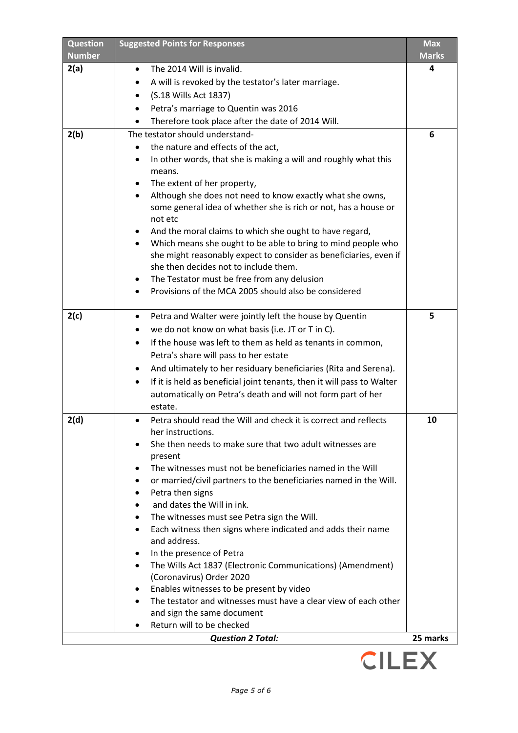| <b>Question</b><br><b>Number</b> | <b>Suggested Points for Responses</b>                                                                       | <b>Max</b><br><b>Marks</b> |
|----------------------------------|-------------------------------------------------------------------------------------------------------------|----------------------------|
| 2(a)                             | The 2014 Will is invalid.<br>٠                                                                              | 4                          |
|                                  | A will is revoked by the testator's later marriage.                                                         |                            |
|                                  | (S.18 Wills Act 1837)<br>$\bullet$                                                                          |                            |
|                                  | Petra's marriage to Quentin was 2016                                                                        |                            |
|                                  | Therefore took place after the date of 2014 Will.<br>٠                                                      |                            |
| 2(b)                             | The testator should understand-                                                                             | 6                          |
|                                  | the nature and effects of the act,                                                                          |                            |
|                                  | In other words, that she is making a will and roughly what this<br>٠                                        |                            |
|                                  | means.                                                                                                      |                            |
|                                  | The extent of her property,<br>٠                                                                            |                            |
|                                  | Although she does not need to know exactly what she owns,<br>$\bullet$                                      |                            |
|                                  | some general idea of whether she is rich or not, has a house or                                             |                            |
|                                  | not etc                                                                                                     |                            |
|                                  | And the moral claims to which she ought to have regard,                                                     |                            |
|                                  | Which means she ought to be able to bring to mind people who                                                |                            |
|                                  | she might reasonably expect to consider as beneficiaries, even if                                           |                            |
|                                  | she then decides not to include them.                                                                       |                            |
|                                  | The Testator must be free from any delusion<br>$\bullet$                                                    |                            |
|                                  | Provisions of the MCA 2005 should also be considered                                                        |                            |
| 2(c)                             | Petra and Walter were jointly left the house by Quentin<br>$\bullet$                                        | 5                          |
|                                  | we do not know on what basis (i.e. JT or T in C).                                                           |                            |
|                                  | If the house was left to them as held as tenants in common,                                                 |                            |
|                                  | Petra's share will pass to her estate                                                                       |                            |
|                                  | And ultimately to her residuary beneficiaries (Rita and Serena).<br>$\bullet$                               |                            |
|                                  | If it is held as beneficial joint tenants, then it will pass to Walter                                      |                            |
|                                  | ٠<br>automatically on Petra's death and will not form part of her                                           |                            |
|                                  | estate.                                                                                                     |                            |
| 2(d)                             | Petra should read the Will and check it is correct and reflects<br>٠                                        | 10                         |
|                                  | her instructions.                                                                                           |                            |
|                                  | She then needs to make sure that two adult witnesses are                                                    |                            |
|                                  | present                                                                                                     |                            |
|                                  | The witnesses must not be beneficiaries named in the Will                                                   |                            |
|                                  | or married/civil partners to the beneficiaries named in the Will.<br>٠                                      |                            |
|                                  | Petra then signs                                                                                            |                            |
|                                  | and dates the Will in ink.                                                                                  |                            |
|                                  | The witnesses must see Petra sign the Will.                                                                 |                            |
|                                  | Each witness then signs where indicated and adds their name                                                 |                            |
|                                  | and address.                                                                                                |                            |
|                                  | In the presence of Petra                                                                                    |                            |
|                                  | The Wills Act 1837 (Electronic Communications) (Amendment)<br>$\bullet$                                     |                            |
|                                  | (Coronavirus) Order 2020                                                                                    |                            |
|                                  | Enables witnesses to be present by video<br>The testator and witnesses must have a clear view of each other |                            |
|                                  | and sign the same document                                                                                  |                            |
|                                  | Return will to be checked                                                                                   |                            |
|                                  | <b>Question 2 Total:</b>                                                                                    | 25 marks                   |